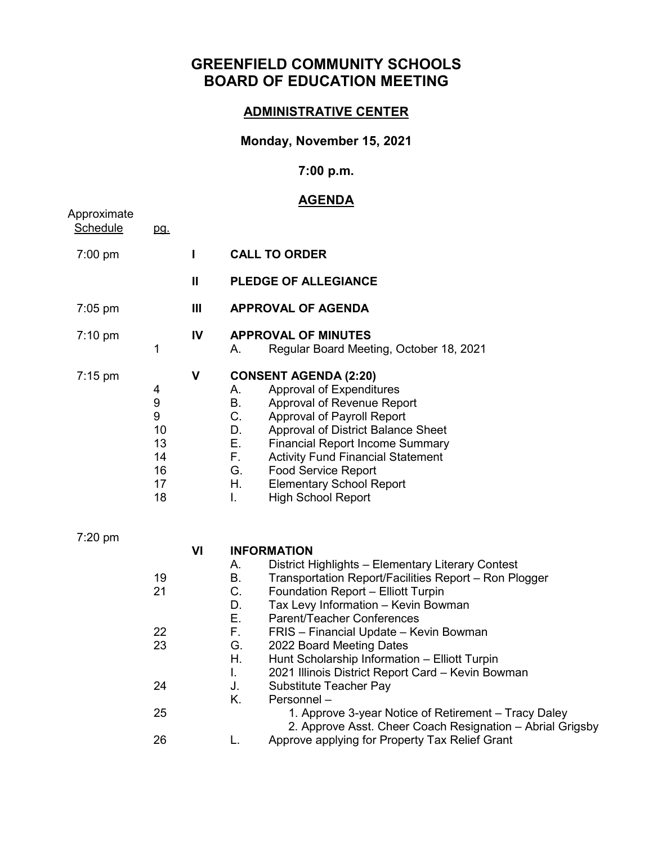# **GREENFIELD COMMUNITY SCHOOLS BOARD OF EDUCATION MEETING**

#### **ADMINISTRATIVE CENTER**

### **Monday, November 15, 2021**

### **7:00 p.m.**

## **AGENDA**

| Approximate<br><b>Schedule</b> | pg.                                                            |                |                                                                                                                                                                                                                                                                                                                                                                                                                                                                                                                                                                                                                                                                                                                       |
|--------------------------------|----------------------------------------------------------------|----------------|-----------------------------------------------------------------------------------------------------------------------------------------------------------------------------------------------------------------------------------------------------------------------------------------------------------------------------------------------------------------------------------------------------------------------------------------------------------------------------------------------------------------------------------------------------------------------------------------------------------------------------------------------------------------------------------------------------------------------|
| 7:00 pm                        |                                                                | $\mathbf I$    | <b>CALL TO ORDER</b>                                                                                                                                                                                                                                                                                                                                                                                                                                                                                                                                                                                                                                                                                                  |
|                                |                                                                | $\mathbf{H}$   | <b>PLEDGE OF ALLEGIANCE</b>                                                                                                                                                                                                                                                                                                                                                                                                                                                                                                                                                                                                                                                                                           |
| $7:05$ pm                      |                                                                | $\mathbf{III}$ | <b>APPROVAL OF AGENDA</b>                                                                                                                                                                                                                                                                                                                                                                                                                                                                                                                                                                                                                                                                                             |
| $7:10$ pm                      | 1                                                              | IV             | <b>APPROVAL OF MINUTES</b><br>Regular Board Meeting, October 18, 2021<br>А.                                                                                                                                                                                                                                                                                                                                                                                                                                                                                                                                                                                                                                           |
| $7:15 \text{ pm}$              | 4<br>$\boldsymbol{9}$<br>9<br>10<br>13<br>14<br>16<br>17<br>18 | $\mathbf v$    | <b>CONSENT AGENDA (2:20)</b><br>Approval of Expenditures<br>А.<br><b>B.</b><br>Approval of Revenue Report<br>C.<br>Approval of Payroll Report<br>D.<br>Approval of District Balance Sheet<br>Ε.<br><b>Financial Report Income Summary</b><br>F.<br><b>Activity Fund Financial Statement</b><br>G.<br><b>Food Service Report</b><br>Η.<br><b>Elementary School Report</b><br>I.<br><b>High School Report</b>                                                                                                                                                                                                                                                                                                           |
| 7:20 pm                        | 19<br>21<br>22<br>23<br>24<br>25<br>26                         | VI             | <b>INFORMATION</b><br>District Highlights - Elementary Literary Contest<br>А.<br><b>B.</b><br>Transportation Report/Facilities Report - Ron Plogger<br>C.<br>Foundation Report - Elliott Turpin<br>D.<br>Tax Levy Information - Kevin Bowman<br>Ε.<br>Parent/Teacher Conferences<br>F.<br>FRIS - Financial Update - Kevin Bowman<br>G.<br>2022 Board Meeting Dates<br>Η.<br>Hunt Scholarship Information - Elliott Turpin<br>I.<br>2021 Illinois District Report Card - Kevin Bowman<br>J.<br>Substitute Teacher Pay<br>Κ.<br>Personnel-<br>1. Approve 3-year Notice of Retirement - Tracy Daley<br>2. Approve Asst. Cheer Coach Resignation - Abrial Grigsby<br>Approve applying for Property Tax Relief Grant<br>L. |